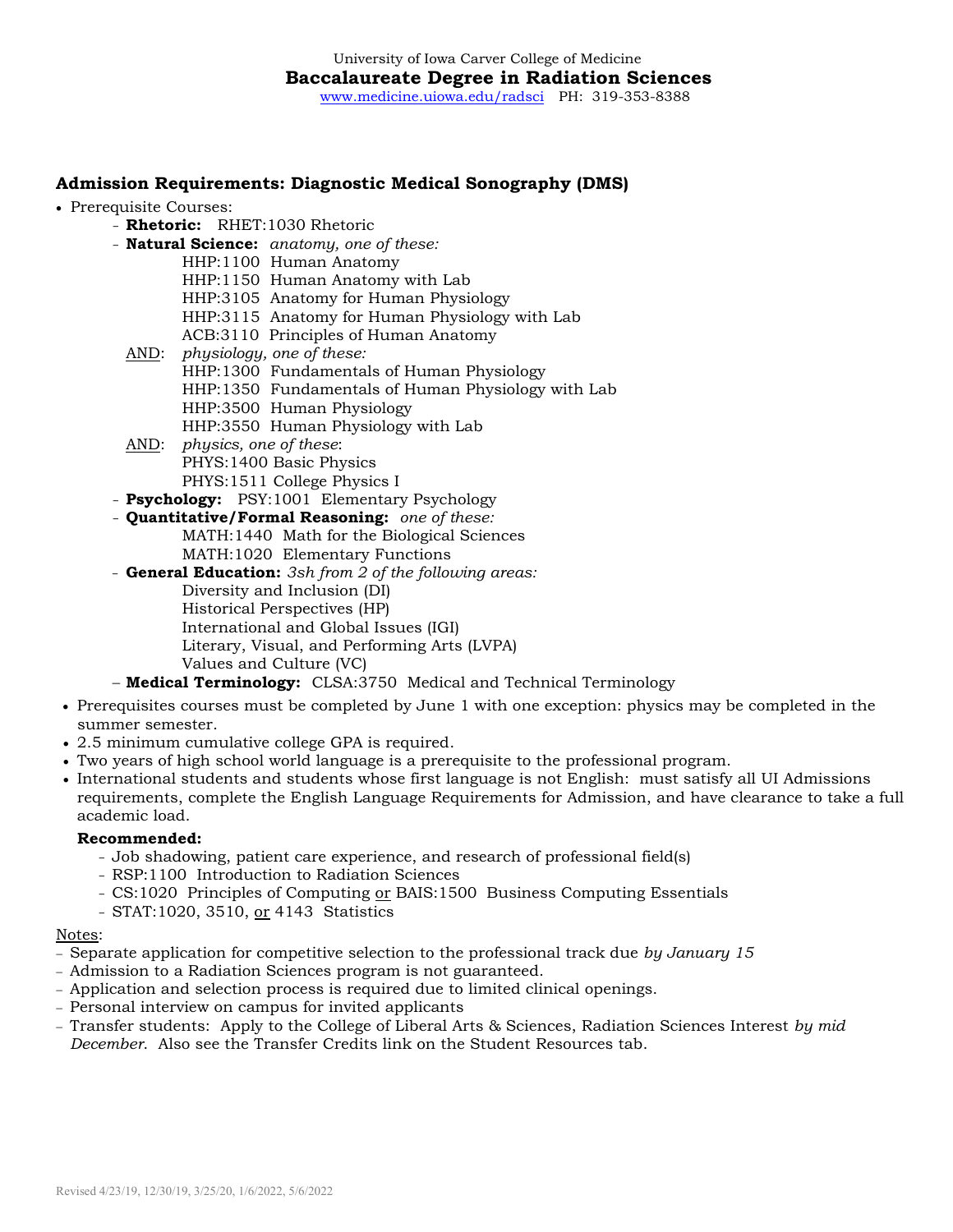# **Admission Requirements: Diagnostic Medical Sonography (DMS)**

- Prerequisite Courses:
	- **Rhetoric:** RHET:1030 Rhetoric
	- **Natural Science:** *anatomy, one of these:*
		- HHP:1100 Human Anatomy
		- HHP:1150 Human Anatomy with Lab
		- HHP:3105 Anatomy for Human Physiology
		- HHP:3115 Anatomy for Human Physiology with Lab
		- ACB:3110 Principles of Human Anatomy
	- AND: *physiology, one of these:* HHP:1300 Fundamentals of Human Physiology HHP:1350 Fundamentals of Human Physiology with Lab HHP:3500 Human Physiology HHP:3550 Human Physiology with Lab
	- AND: *physics, one of these*: PHYS:1400 Basic Physics PHYS:1511 College Physics I
	- **Psychology:** PSY:1001 Elementary Psychology
	- **Quantitative/Formal Reasoning:** *one of these:*
		- MATH:1440 Math for the Biological Sciences MATH:1020 Elementary Functions
	- **General Education:** *3sh from 2 of the following areas:* Diversity and Inclusion (DI) Historical Perspectives (HP) International and Global Issues (IGI) Literary, Visual, and Performing Arts (LVPA) Values and Culture (VC)
	- − **Medical Terminology:** CLSA:3750 Medical and Technical Terminology
- Prerequisites courses must be completed by June 1 with one exception: physics may be completed in the summer semester.
- 2.5 minimum cumulative college GPA is required.
- Two years of high school world language is a prerequisite to the professional program.
- International students and students whose first language is not English: must satisfy all UI Admissions requirements, complete the English Language Requirements for Admission, and have clearance to take a full academic load.

#### **Recommended:**

- Job shadowing, patient care experience, and research of professional field(s)
- RSP:1100 Introduction to Radiation Sciences
- CS:1020 Principles of Computing or BAIS:1500 Business Computing Essentials
- STAT:1020, 3510, or 4143 Statistics

#### Notes:

- − Separate application for competitive selection to the professional track due *by January 15*
- − Admission to a Radiation Sciences program is not guaranteed.
- − Application and selection process is required due to limited clinical openings.
- − Personal interview on campus for invited applicants
- − Transfer students: Apply to the College of Liberal Arts & Sciences, Radiation Sciences Interest *by mid December*. Also see the Transfer Credits link on the Student Resources tab.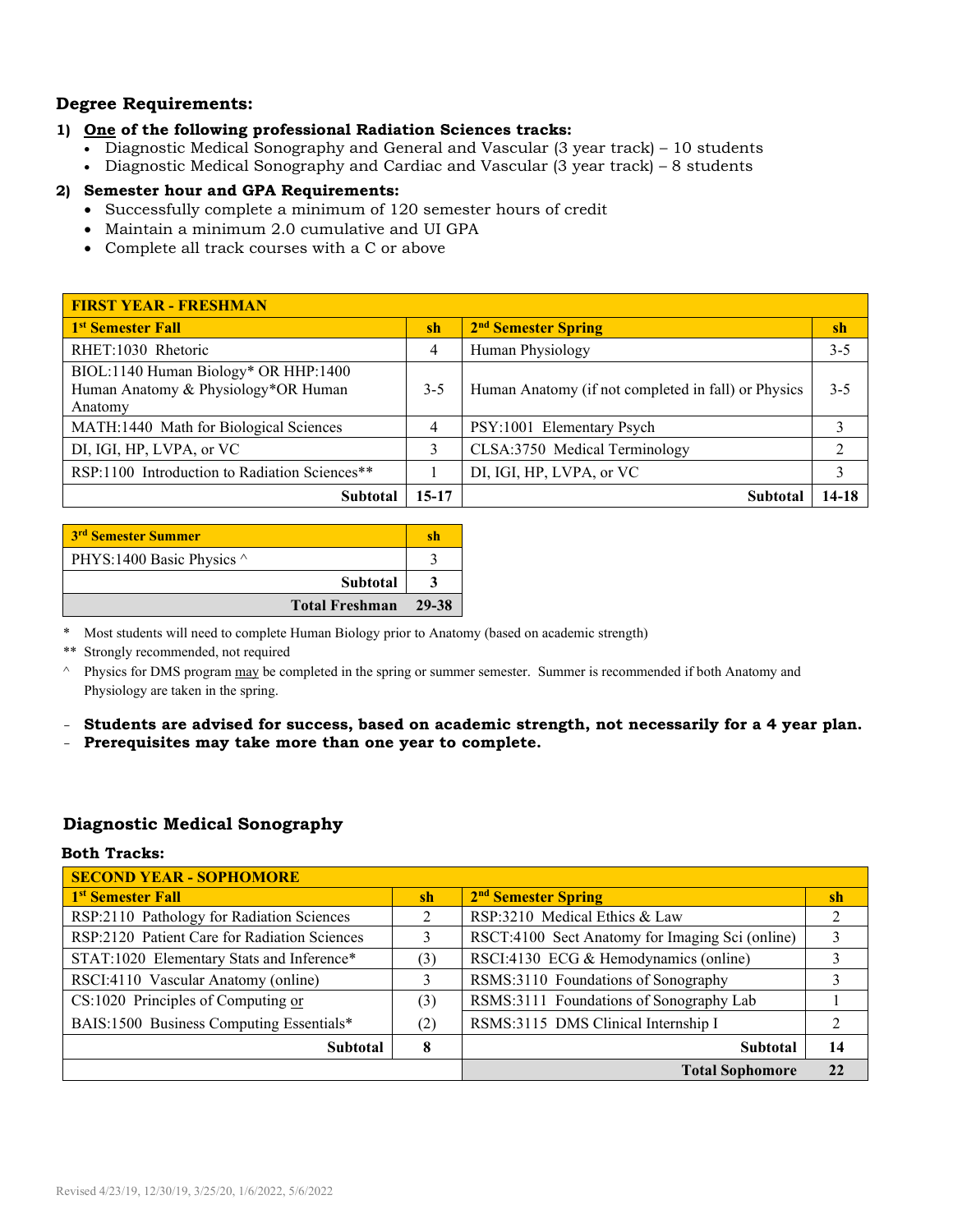## **Degree Requirements:**

#### **1) One of the following professional Radiation Sciences tracks:**

- Diagnostic Medical Sonography and General and Vascular (3 year track) 10 students
- Diagnostic Medical Sonography and Cardiac and Vascular (3 year track) 8 students

## **2) Semester hour and GPA Requirements:**

- Successfully complete a minimum of 120 semester hours of credit
- Maintain a minimum 2.0 cumulative and UI GPA
- Complete all track courses with a C or above

| <b>FIRST YEAR - FRESHMAN</b>                  |           |                                                     |         |  |  |
|-----------------------------------------------|-----------|-----------------------------------------------------|---------|--|--|
| 1 <sup>st</sup> Semester Fall                 | sh        | 2 <sup>nd</sup> Semester Spring                     | sh      |  |  |
| RHET:1030 Rhetoric                            | 4         | Human Physiology                                    | $3 - 5$ |  |  |
| BIOL:1140 Human Biology* OR HHP:1400          |           |                                                     |         |  |  |
| Human Anatomy & Physiology*OR Human           | $3 - 5$   | Human Anatomy (if not completed in fall) or Physics | $3 - 5$ |  |  |
| Anatomy                                       |           |                                                     |         |  |  |
| MATH:1440 Math for Biological Sciences        | 4         | PSY:1001 Elementary Psych                           |         |  |  |
| DI, IGI, HP, LVPA, or VC                      | 3         | CLSA:3750 Medical Terminology                       | ∍       |  |  |
| RSP:1100 Introduction to Radiation Sciences** |           | DI, IGI, HP, LVPA, or VC                            | 3       |  |  |
| Subtotal                                      | $15 - 17$ | <b>Subtota</b>                                      | 14-18   |  |  |

| 3 <sup>rd</sup> Semester Summer | sh    |
|---------------------------------|-------|
| PHYS:1400 Basic Physics ^       |       |
| <b>Subtotal</b>                 |       |
| <b>Total Freshman</b>           | 29-38 |

\* Most students will need to complete Human Biology prior to Anatomy (based on academic strength)

\*\* Strongly recommended, not required

<sup>^</sup> Physics for DMS program may be completed in the spring or summer semester. Summer is recommended if both Anatomy and Physiology are taken in the spring.

- **Students are advised for success, based on academic strength, not necessarily for a 4 year plan.**

- **Prerequisites may take more than one year to complete.**

### **Diagnostic Medical Sonography**

#### **Both Tracks:**

| <b>SECOND YEAR - SOPHOMORE</b>               |               |                                                 |                |  |
|----------------------------------------------|---------------|-------------------------------------------------|----------------|--|
| 1 <sup>st</sup> Semester Fall                | <sub>sh</sub> | 2 <sup>nd</sup> Semester Spring                 | sh             |  |
| RSP:2110 Pathology for Radiation Sciences    |               | RSP:3210 Medical Ethics & Law                   | 2              |  |
| RSP:2120 Patient Care for Radiation Sciences |               | RSCT:4100 Sect Anatomy for Imaging Sci (online) |                |  |
| STAT:1020 Elementary Stats and Inference*    | (3)           | RSCI:4130 ECG & Hemodynamics (online)           |                |  |
| RSCI:4110 Vascular Anatomy (online)          |               | RSMS:3110 Foundations of Sonography             | 3              |  |
| CS:1020 Principles of Computing or           | (3)           | RSMS:3111 Foundations of Sonography Lab         |                |  |
| BAIS:1500 Business Computing Essentials*     | (2)           | RSMS:3115 DMS Clinical Internship I             | $\mathfrak{D}$ |  |
| <b>Subtotal</b>                              | 8             | <b>Subtotal</b>                                 | 14             |  |
|                                              |               | <b>Total Sophomore</b>                          | 22             |  |